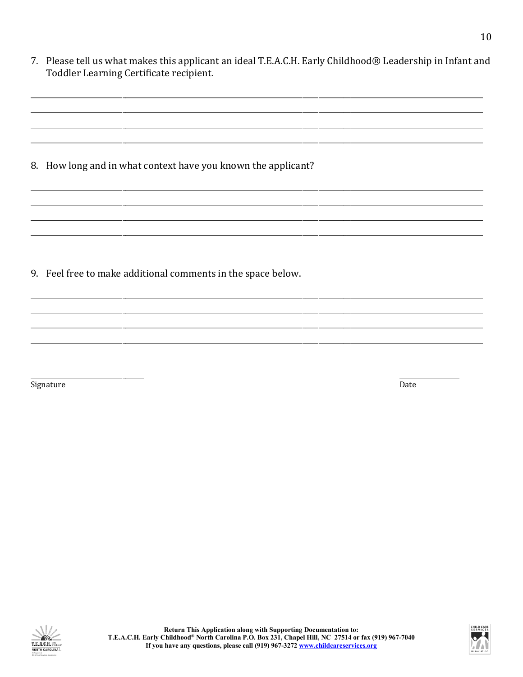| 7. Please tell us what makes this applicant an ideal T.E.A.C.H. Early Childhood® Leadership in Infant and<br>Toddler Learning Certificate recipient. |
|------------------------------------------------------------------------------------------------------------------------------------------------------|
|                                                                                                                                                      |
| 8. How long and in what context have you known the applicant?                                                                                        |
|                                                                                                                                                      |
| 9. Feel free to make additional comments in the space below.                                                                                         |
|                                                                                                                                                      |

Signature

 $\mbox{\textsf{Date}}$ 



10